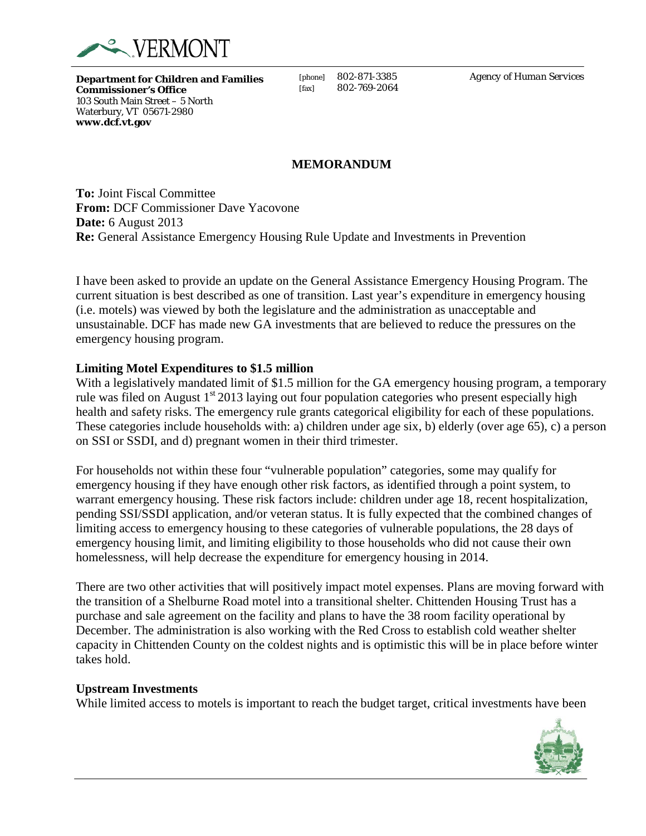

**Department for Children and Families Commissioner's Office** 103 South Main Street – 5 North Waterbury, VT 05671-2980 **www.dcf.vt.gov**

[phone] 802-871-3385 [fax] 802-769-2064 *Agency of Human Services*

## **MEMORANDUM**

**To:** Joint Fiscal Committee **From:** DCF Commissioner Dave Yacovone **Date:** 6 August 2013 **Re:** General Assistance Emergency Housing Rule Update and Investments in Prevention

I have been asked to provide an update on the General Assistance Emergency Housing Program. The current situation is best described as one of transition. Last year's expenditure in emergency housing (i.e. motels) was viewed by both the legislature and the administration as unacceptable and unsustainable. DCF has made new GA investments that are believed to reduce the pressures on the emergency housing program.

## **Limiting Motel Expenditures to \$1.5 million**

With a legislatively mandated limit of \$1.5 million for the GA emergency housing program, a temporary rule was filed on August  $1<sup>st</sup> 2013$  laying out four population categories who present especially high health and safety risks. The emergency rule grants categorical eligibility for each of these populations. These categories include households with: a) children under age six, b) elderly (over age 65), c) a person on SSI or SSDI, and d) pregnant women in their third trimester.

For households not within these four "vulnerable population" categories, some may qualify for emergency housing if they have enough other risk factors, as identified through a point system, to warrant emergency housing. These risk factors include: children under age 18, recent hospitalization, pending SSI/SSDI application, and/or veteran status. It is fully expected that the combined changes of limiting access to emergency housing to these categories of vulnerable populations, the 28 days of emergency housing limit, and limiting eligibility to those households who did not cause their own homelessness, will help decrease the expenditure for emergency housing in 2014.

There are two other activities that will positively impact motel expenses. Plans are moving forward with the transition of a Shelburne Road motel into a transitional shelter. Chittenden Housing Trust has a purchase and sale agreement on the facility and plans to have the 38 room facility operational by December. The administration is also working with the Red Cross to establish cold weather shelter capacity in Chittenden County on the coldest nights and is optimistic this will be in place before winter takes hold.

## **Upstream Investments**

 $\overline{a}$ 

While limited access to motels is important to reach the budget target, critical investments have been